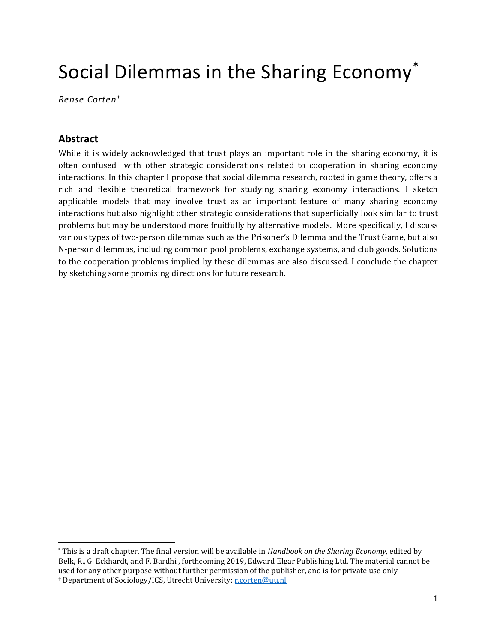# Social Dilemmas in the Sharing Economy\*

Rense Corten†

# Abstract

 $\overline{a}$ 

While it is widely acknowledged that trust plays an important role in the sharing economy, it is often confused with other strategic considerations related to cooperation in sharing economy interactions. In this chapter I propose that social dilemma research, rooted in game theory, offers a rich and flexible theoretical framework for studying sharing economy interactions. I sketch applicable models that may involve trust as an important feature of many sharing economy interactions but also highlight other strategic considerations that superficially look similar to trust problems but may be understood more fruitfully by alternative models. More specifically, I discuss various types of two-person dilemmas such as the Prisoner's Dilemma and the Trust Game, but also N-person dilemmas, including common pool problems, exchange systems, and club goods. Solutions to the cooperation problems implied by these dilemmas are also discussed. I conclude the chapter by sketching some promising directions for future research.

<sup>\*</sup> This is a draft chapter. The final version will be available in Handbook on the Sharing Economy, edited by Belk, R., G. Eckhardt, and F. Bardhi , forthcoming 2019, Edward Elgar Publishing Ltd. The material cannot be used for any other purpose without further permission of the publisher, and is for private use only <sup>†</sup> Department of Sociology/ICS, Utrecht University; r.corten@uu.nl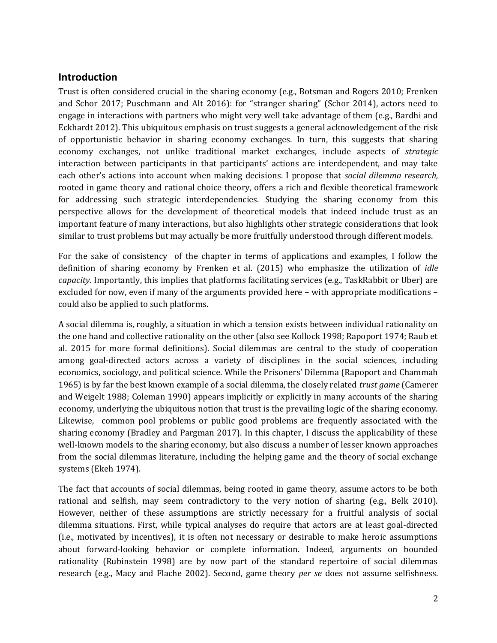# Introduction

Trust is often considered crucial in the sharing economy (e.g., Botsman and Rogers 2010; Frenken and Schor 2017; Puschmann and Alt 2016): for "stranger sharing" (Schor 2014), actors need to engage in interactions with partners who might very well take advantage of them (e.g., Bardhi and Eckhardt 2012). This ubiquitous emphasis on trust suggests a general acknowledgement of the risk of opportunistic behavior in sharing economy exchanges. In turn, this suggests that sharing economy exchanges, not unlike traditional market exchanges, include aspects of strategic interaction between participants in that participants' actions are interdependent, and may take each other's actions into account when making decisions. I propose that social dilemma research, rooted in game theory and rational choice theory, offers a rich and flexible theoretical framework for addressing such strategic interdependencies. Studying the sharing economy from this perspective allows for the development of theoretical models that indeed include trust as an important feature of many interactions, but also highlights other strategic considerations that look similar to trust problems but may actually be more fruitfully understood through different models.

For the sake of consistency of the chapter in terms of applications and examples, I follow the definition of sharing economy by Frenken et al. (2015) who emphasize the utilization of *idle* capacity. Importantly, this implies that platforms facilitating services (e.g., TaskRabbit or Uber) are excluded for now, even if many of the arguments provided here – with appropriate modifications – could also be applied to such platforms.

A social dilemma is, roughly, a situation in which a tension exists between individual rationality on the one hand and collective rationality on the other (also see Kollock 1998; Rapoport 1974; Raub et al. 2015 for more formal definitions). Social dilemmas are central to the study of cooperation among goal-directed actors across a variety of disciplines in the social sciences, including economics, sociology, and political science. While the Prisoners' Dilemma (Rapoport and Chammah 1965) is by far the best known example of a social dilemma, the closely related trust game (Camerer and Weigelt 1988; Coleman 1990) appears implicitly or explicitly in many accounts of the sharing economy, underlying the ubiquitous notion that trust is the prevailing logic of the sharing economy. Likewise, common pool problems or public good problems are frequently associated with the sharing economy (Bradley and Pargman 2017). In this chapter, I discuss the applicability of these well-known models to the sharing economy, but also discuss a number of lesser known approaches from the social dilemmas literature, including the helping game and the theory of social exchange systems (Ekeh 1974).

The fact that accounts of social dilemmas, being rooted in game theory, assume actors to be both rational and selfish, may seem contradictory to the very notion of sharing (e.g., Belk 2010). However, neither of these assumptions are strictly necessary for a fruitful analysis of social dilemma situations. First, while typical analyses do require that actors are at least goal-directed (i.e., motivated by incentives), it is often not necessary or desirable to make heroic assumptions about forward-looking behavior or complete information. Indeed, arguments on bounded rationality (Rubinstein 1998) are by now part of the standard repertoire of social dilemmas research (e.g., Macy and Flache 2002). Second, game theory per se does not assume selfishness.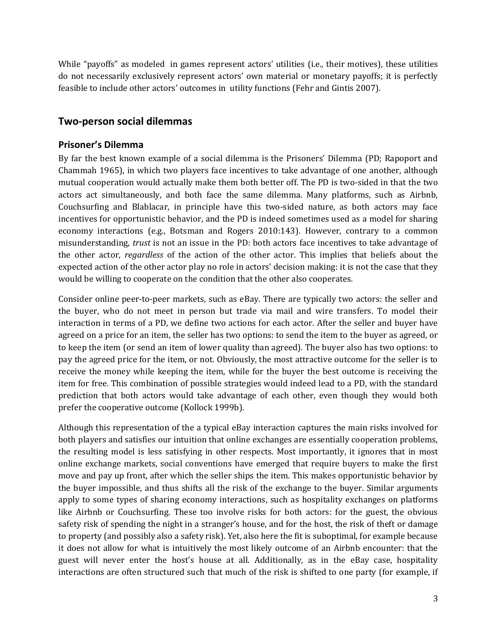While "payoffs" as modeled in games represent actors' utilities (i.e., their motives), these utilities do not necessarily exclusively represent actors' own material or monetary payoffs; it is perfectly feasible to include other actors' outcomes in utility functions (Fehr and Gintis 2007).

## Two-person social dilemmas

#### Prisoner's Dilemma

By far the best known example of a social dilemma is the Prisoners' Dilemma (PD; Rapoport and Chammah 1965), in which two players face incentives to take advantage of one another, although mutual cooperation would actually make them both better off. The PD is two-sided in that the two actors act simultaneously, and both face the same dilemma. Many platforms, such as Airbnb, Couchsurfing and Blablacar, in principle have this two-sided nature, as both actors may face incentives for opportunistic behavior, and the PD is indeed sometimes used as a model for sharing economy interactions (e.g., Botsman and Rogers 2010:143). However, contrary to a common misunderstanding, trust is not an issue in the PD: both actors face incentives to take advantage of the other actor, regardless of the action of the other actor. This implies that beliefs about the expected action of the other actor play no role in actors' decision making: it is not the case that they would be willing to cooperate on the condition that the other also cooperates.

Consider online peer-to-peer markets, such as eBay. There are typically two actors: the seller and the buyer, who do not meet in person but trade via mail and wire transfers. To model their interaction in terms of a PD, we define two actions for each actor. After the seller and buyer have agreed on a price for an item, the seller has two options: to send the item to the buyer as agreed, or to keep the item (or send an item of lower quality than agreed). The buyer also has two options: to pay the agreed price for the item, or not. Obviously, the most attractive outcome for the seller is to receive the money while keeping the item, while for the buyer the best outcome is receiving the item for free. This combination of possible strategies would indeed lead to a PD, with the standard prediction that both actors would take advantage of each other, even though they would both prefer the cooperative outcome (Kollock 1999b).

Although this representation of the a typical eBay interaction captures the main risks involved for both players and satisfies our intuition that online exchanges are essentially cooperation problems, the resulting model is less satisfying in other respects. Most importantly, it ignores that in most online exchange markets, social conventions have emerged that require buyers to make the first move and pay up front, after which the seller ships the item. This makes opportunistic behavior by the buyer impossible, and thus shifts all the risk of the exchange to the buyer. Similar arguments apply to some types of sharing economy interactions, such as hospitality exchanges on platforms like Airbnb or Couchsurfing. These too involve risks for both actors: for the guest, the obvious safety risk of spending the night in a stranger's house, and for the host, the risk of theft or damage to property (and possibly also a safety risk). Yet, also here the fit is suboptimal, for example because it does not allow for what is intuitively the most likely outcome of an Airbnb encounter: that the guest will never enter the host's house at all. Additionally, as in the eBay case, hospitality interactions are often structured such that much of the risk is shifted to one party (for example, if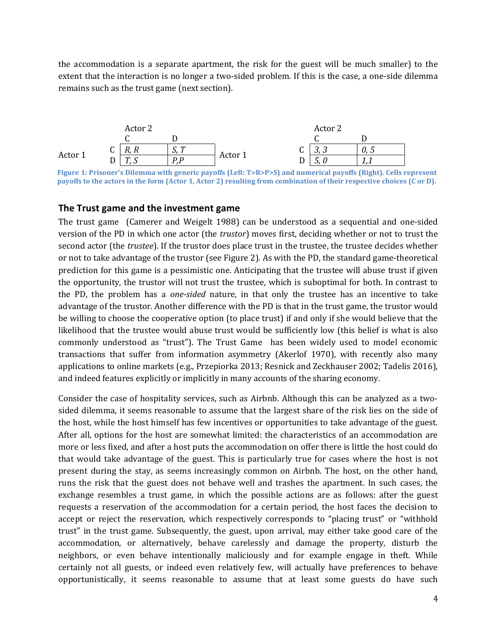the accommodation is a separate apartment, the risk for the guest will be much smaller) to the extent that the interaction is no longer a two-sided problem. If this is the case, a one-side dilemma remains such as the trust game (next section).



Figure 1: Prisoner's Dilemma with generic payoffs (Left: T>R>P>S) and numerical payoffs (Right). Cells represent payoffs to the actors in the form (Actor 1, Actor 2) resulting from combination of their respective choices (C or D).

#### The Trust game and the investment game

The trust game (Camerer and Weigelt 1988) can be understood as a sequential and one-sided version of the PD in which one actor (the trustor) moves first, deciding whether or not to trust the second actor (the trustee). If the trustor does place trust in the trustee, the trustee decides whether or not to take advantage of the trustor (see Figure 2). As with the PD, the standard game-theoretical prediction for this game is a pessimistic one. Anticipating that the trustee will abuse trust if given the opportunity, the trustor will not trust the trustee, which is suboptimal for both. In contrast to the PD, the problem has a one-sided nature, in that only the trustee has an incentive to take advantage of the trustor. Another difference with the PD is that in the trust game, the trustor would be willing to choose the cooperative option (to place trust) if and only if she would believe that the likelihood that the trustee would abuse trust would be sufficiently low (this belief is what is also commonly understood as "trust"). The Trust Game has been widely used to model economic transactions that suffer from information asymmetry (Akerlof 1970), with recently also many applications to online markets (e.g., Przepiorka 2013; Resnick and Zeckhauser 2002; Tadelis 2016), and indeed features explicitly or implicitly in many accounts of the sharing economy.

Consider the case of hospitality services, such as Airbnb. Although this can be analyzed as a twosided dilemma, it seems reasonable to assume that the largest share of the risk lies on the side of the host, while the host himself has few incentives or opportunities to take advantage of the guest. After all, options for the host are somewhat limited: the characteristics of an accommodation are more or less fixed, and after a host puts the accommodation on offer there is little the host could do that would take advantage of the guest. This is particularly true for cases where the host is not present during the stay, as seems increasingly common on Airbnb. The host, on the other hand, runs the risk that the guest does not behave well and trashes the apartment. In such cases, the exchange resembles a trust game, in which the possible actions are as follows: after the guest requests a reservation of the accommodation for a certain period, the host faces the decision to accept or reject the reservation, which respectively corresponds to "placing trust" or "withhold trust" in the trust game. Subsequently, the guest, upon arrival, may either take good care of the accommodation, or alternatively, behave carelessly and damage the property, disturb the neighbors, or even behave intentionally maliciously and for example engage in theft. While certainly not all guests, or indeed even relatively few, will actually have preferences to behave opportunistically, it seems reasonable to assume that at least some guests do have such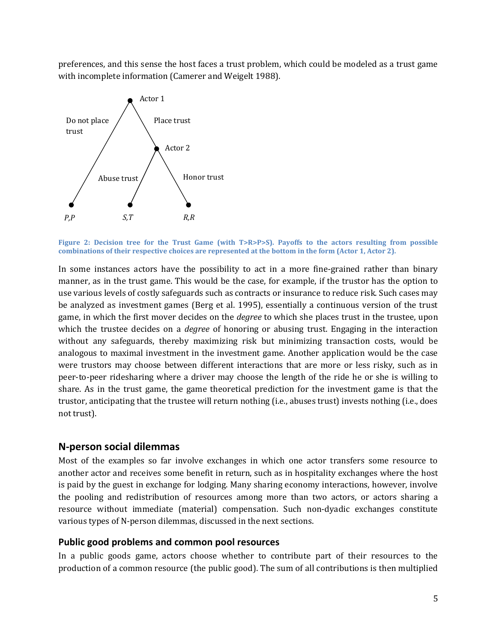preferences, and this sense the host faces a trust problem, which could be modeled as a trust game with incomplete information (Camerer and Weigelt 1988).



Figure 2: Decision tree for the Trust Game (with T>R>P>S). Payoffs to the actors resulting from possible combinations of their respective choices are represented at the bottom in the form (Actor 1, Actor 2).

In some instances actors have the possibility to act in a more fine-grained rather than binary manner, as in the trust game. This would be the case, for example, if the trustor has the option to use various levels of costly safeguards such as contracts or insurance to reduce risk. Such cases may be analyzed as investment games (Berg et al. 1995), essentially a continuous version of the trust game, in which the first mover decides on the *degree* to which she places trust in the trustee, upon which the trustee decides on a *degree* of honoring or abusing trust. Engaging in the interaction without any safeguards, thereby maximizing risk but minimizing transaction costs, would be analogous to maximal investment in the investment game. Another application would be the case were trustors may choose between different interactions that are more or less risky, such as in peer-to-peer ridesharing where a driver may choose the length of the ride he or she is willing to share. As in the trust game, the game theoretical prediction for the investment game is that the trustor, anticipating that the trustee will return nothing (i.e., abuses trust) invests nothing (i.e., does not trust).

#### N-person social dilemmas

Most of the examples so far involve exchanges in which one actor transfers some resource to another actor and receives some benefit in return, such as in hospitality exchanges where the host is paid by the guest in exchange for lodging. Many sharing economy interactions, however, involve the pooling and redistribution of resources among more than two actors, or actors sharing a resource without immediate (material) compensation. Such non-dyadic exchanges constitute various types of N-person dilemmas, discussed in the next sections.

#### Public good problems and common pool resources

In a public goods game, actors choose whether to contribute part of their resources to the production of a common resource (the public good). The sum of all contributions is then multiplied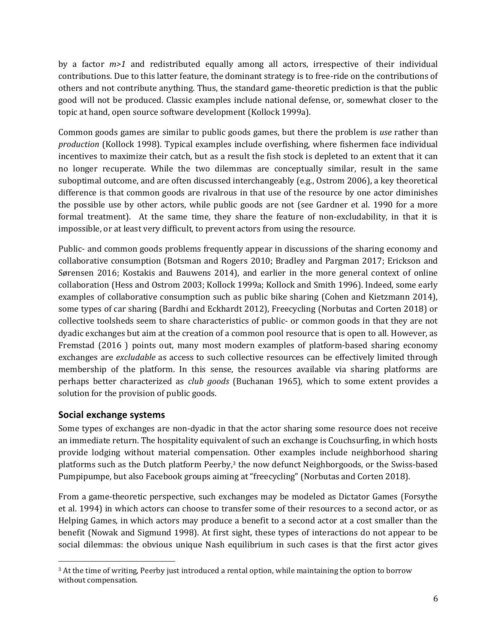by a factor  $m>1$  and redistributed equally among all actors, irrespective of their individual contributions. Due to this latter feature, the dominant strategy is to free-ride on the contributions of others and not contribute anything. Thus, the standard game-theoretic prediction is that the public good will not be produced. Classic examples include national defense, or, somewhat closer to the topic at hand, open source software development (Kollock 1999a).

Common goods games are similar to public goods games, but there the problem is use rather than production (Kollock 1998). Typical examples include overfishing, where fishermen face individual incentives to maximize their catch, but as a result the fish stock is depleted to an extent that it can no longer recuperate. While the two dilemmas are conceptually similar, result in the same suboptimal outcome, and are often discussed interchangeably (e.g., Ostrom 2006), a key theoretical difference is that common goods are rivalrous in that use of the resource by one actor diminishes the possible use by other actors, while public goods are not (see Gardner et al. 1990 for a more formal treatment). At the same time, they share the feature of non-excludability, in that it is impossible, or at least very difficult, to prevent actors from using the resource.

Public- and common goods problems frequently appear in discussions of the sharing economy and collaborative consumption (Botsman and Rogers 2010; Bradley and Pargman 2017; Erickson and Sørensen 2016; Kostakis and Bauwens 2014), and earlier in the more general context of online collaboration (Hess and Ostrom 2003; Kollock 1999a; Kollock and Smith 1996). Indeed, some early examples of collaborative consumption such as public bike sharing (Cohen and Kietzmann 2014), some types of car sharing (Bardhi and Eckhardt 2012), Freecycling (Norbutas and Corten 2018) or collective toolsheds seem to share characteristics of public- or common goods in that they are not dyadic exchanges but aim at the creation of a common pool resource that is open to all. However, as Fremstad (2016 ) points out, many most modern examples of platform-based sharing economy exchanges are excludable as access to such collective resources can be effectively limited through membership of the platform. In this sense, the resources available via sharing platforms are perhaps better characterized as club goods (Buchanan 1965), which to some extent provides a solution for the provision of public goods.

## Social exchange systems

Some types of exchanges are non-dyadic in that the actor sharing some resource does not receive an immediate return. The hospitality equivalent of such an exchange is Couchsurfing, in which hosts provide lodging without material compensation. Other examples include neighborhood sharing platforms such as the Dutch platform Peerby,<sup>3</sup> the now defunct Neighborgoods, or the Swiss-based Pumpipumpe, but also Facebook groups aiming at "freecycling" (Norbutas and Corten 2018).

From a game-theoretic perspective, such exchanges may be modeled as Dictator Games (Forsythe et al. 1994) in which actors can choose to transfer some of their resources to a second actor, or as Helping Games, in which actors may produce a benefit to a second actor at a cost smaller than the benefit (Nowak and Sigmund 1998). At first sight, these types of interactions do not appear to be social dilemmas: the obvious unique Nash equilibrium in such cases is that the first actor gives

 <sup>3</sup> At the time of writing, Peerby just introduced a rental option, while maintaining the option to borrow without compensation.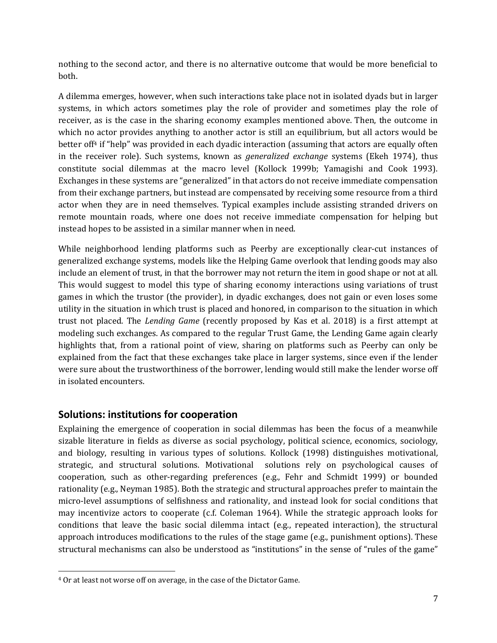nothing to the second actor, and there is no alternative outcome that would be more beneficial to both.

A dilemma emerges, however, when such interactions take place not in isolated dyads but in larger systems, in which actors sometimes play the role of provider and sometimes play the role of receiver, as is the case in the sharing economy examples mentioned above. Then, the outcome in which no actor provides anything to another actor is still an equilibrium, but all actors would be better of <sup>f4</sup> if "help" was provided in each dyadic interaction (assuming that actors are equally often in the receiver role). Such systems, known as *generalized exchange* systems (Ekeh 1974), thus constitute social dilemmas at the macro level (Kollock 1999b; Yamagishi and Cook 1993). Exchanges in these systems are "generalized" in that actors do not receive immediate compensation from their exchange partners, but instead are compensated by receiving some resource from a third actor when they are in need themselves. Typical examples include assisting stranded drivers on remote mountain roads, where one does not receive immediate compensation for helping but instead hopes to be assisted in a similar manner when in need.

While neighborhood lending platforms such as Peerby are exceptionally clear-cut instances of generalized exchange systems, models like the Helping Game overlook that lending goods may also include an element of trust, in that the borrower may not return the item in good shape or not at all. This would suggest to model this type of sharing economy interactions using variations of trust games in which the trustor (the provider), in dyadic exchanges, does not gain or even loses some utility in the situation in which trust is placed and honored, in comparison to the situation in which trust not placed. The Lending Game (recently proposed by Kas et al. 2018) is a first attempt at modeling such exchanges. As compared to the regular Trust Game, the Lending Game again clearly highlights that, from a rational point of view, sharing on platforms such as Peerby can only be explained from the fact that these exchanges take place in larger systems, since even if the lender were sure about the trustworthiness of the borrower, lending would still make the lender worse off in isolated encounters.

# Solutions: institutions for cooperation

Explaining the emergence of cooperation in social dilemmas has been the focus of a meanwhile sizable literature in fields as diverse as social psychology, political science, economics, sociology, and biology, resulting in various types of solutions. Kollock (1998) distinguishes motivational, strategic, and structural solutions. Motivational solutions rely on psychological causes of cooperation, such as other-regarding preferences (e.g., Fehr and Schmidt 1999) or bounded rationality (e.g., Neyman 1985). Both the strategic and structural approaches prefer to maintain the micro-level assumptions of selfishness and rationality, and instead look for social conditions that may incentivize actors to cooperate (c.f. Coleman 1964). While the strategic approach looks for conditions that leave the basic social dilemma intact (e.g., repeated interaction), the structural approach introduces modifications to the rules of the stage game (e.g., punishment options). These structural mechanisms can also be understood as "institutions" in the sense of "rules of the game"

<sup>4</sup> Or at least not worse off on average, in the case of the Dictator Game.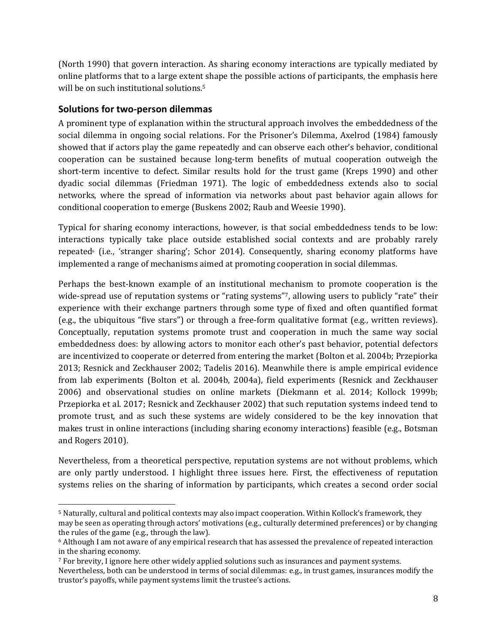(North 1990) that govern interaction. As sharing economy interactions are typically mediated by online platforms that to a large extent shape the possible actions of participants, the emphasis here will be on such institutional solutions.<sup>5</sup>

## Solutions for two-person dilemmas

A prominent type of explanation within the structural approach involves the embeddedness of the social dilemma in ongoing social relations. For the Prisoner's Dilemma, Axelrod (1984) famously showed that if actors play the game repeatedly and can observe each other's behavior, conditional cooperation can be sustained because long-term benefits of mutual cooperation outweigh the short-term incentive to defect. Similar results hold for the trust game (Kreps 1990) and other dyadic social dilemmas (Friedman 1971). The logic of embeddedness extends also to social networks, where the spread of information via networks about past behavior again allows for conditional cooperation to emerge (Buskens 2002; Raub and Weesie 1990).

Typical for sharing economy interactions, however, is that social embeddedness tends to be low: interactions typically take place outside established social contexts and are probably rarely repeated (i.e., 'stranger sharing'; Schor 2014). Consequently, sharing economy platforms have implemented a range of mechanisms aimed at promoting cooperation in social dilemmas.

Perhaps the best-known example of an institutional mechanism to promote cooperation is the wide-spread use of reputation systems or "rating systems"7, allowing users to publicly "rate" their experience with their exchange partners through some type of fixed and often quantified format (e.g., the ubiquitous "five stars") or through a free-form qualitative format (e.g., written reviews). Conceptually, reputation systems promote trust and cooperation in much the same way social embeddedness does: by allowing actors to monitor each other's past behavior, potential defectors are incentivized to cooperate or deterred from entering the market (Bolton et al. 2004b; Przepiorka 2013; Resnick and Zeckhauser 2002; Tadelis 2016). Meanwhile there is ample empirical evidence from lab experiments (Bolton et al. 2004b, 2004a), field experiments (Resnick and Zeckhauser 2006) and observational studies on online markets (Diekmann et al. 2014; Kollock 1999b; Przepiorka et al. 2017; Resnick and Zeckhauser 2002) that such reputation systems indeed tend to promote trust, and as such these systems are widely considered to be the key innovation that makes trust in online interactions (including sharing economy interactions) feasible (e.g., Botsman and Rogers 2010).

Nevertheless, from a theoretical perspective, reputation systems are not without problems, which are only partly understood. I highlight three issues here. First, the effectiveness of reputation systems relies on the sharing of information by participants, which creates a second order social

<sup>5</sup> Naturally, cultural and political contexts may also impact cooperation. Within Kollock's framework, they may be seen as operating through actors' motivations (e.g., culturally determined preferences) or by changing the rules of the game (e.g., through the law).

<sup>6</sup> Although I am not aware of any empirical research that has assessed the prevalence of repeated interaction in the sharing economy.

<sup>7</sup> For brevity, I ignore here other widely applied solutions such as insurances and payment systems. Nevertheless, both can be understood in terms of social dilemmas: e.g., in trust games, insurances modify the trustor's payoffs, while payment systems limit the trustee's actions.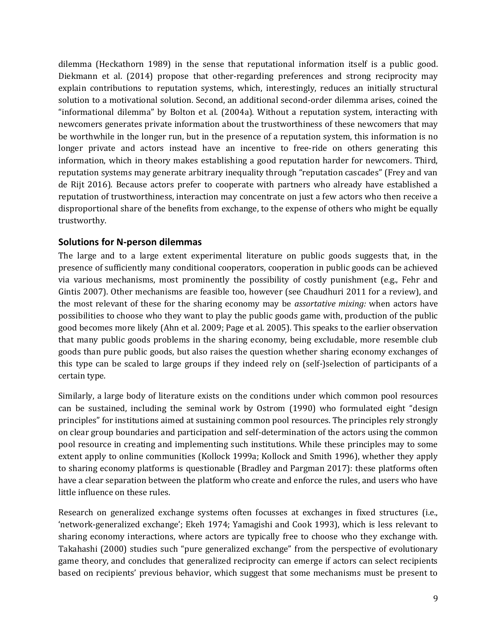dilemma (Heckathorn 1989) in the sense that reputational information itself is a public good. Diekmann et al. (2014) propose that other-regarding preferences and strong reciprocity may explain contributions to reputation systems, which, interestingly, reduces an initially structural solution to a motivational solution. Second, an additional second-order dilemma arises, coined the "informational dilemma" by Bolton et al. (2004a). Without a reputation system, interacting with newcomers generates private information about the trustworthiness of these newcomers that may be worthwhile in the longer run, but in the presence of a reputation system, this information is no longer private and actors instead have an incentive to free-ride on others generating this information, which in theory makes establishing a good reputation harder for newcomers. Third, reputation systems may generate arbitrary inequality through "reputation cascades" (Frey and van de Rijt 2016). Because actors prefer to cooperate with partners who already have established a reputation of trustworthiness, interaction may concentrate on just a few actors who then receive a disproportional share of the benefits from exchange, to the expense of others who might be equally trustworthy.

#### Solutions for N-person dilemmas

The large and to a large extent experimental literature on public goods suggests that, in the presence of sufficiently many conditional cooperators, cooperation in public goods can be achieved via various mechanisms, most prominently the possibility of costly punishment (e.g., Fehr and Gintis 2007). Other mechanisms are feasible too, however (see Chaudhuri 2011 for a review), and the most relevant of these for the sharing economy may be *assortative mixing:* when actors have possibilities to choose who they want to play the public goods game with, production of the public good becomes more likely (Ahn et al. 2009; Page et al. 2005). This speaks to the earlier observation that many public goods problems in the sharing economy, being excludable, more resemble club goods than pure public goods, but also raises the question whether sharing economy exchanges of this type can be scaled to large groups if they indeed rely on (self-)selection of participants of a certain type.

Similarly, a large body of literature exists on the conditions under which common pool resources can be sustained, including the seminal work by Ostrom (1990) who formulated eight "design principles" for institutions aimed at sustaining common pool resources. The principles rely strongly on clear group boundaries and participation and self-determination of the actors using the common pool resource in creating and implementing such institutions. While these principles may to some extent apply to online communities (Kollock 1999a; Kollock and Smith 1996), whether they apply to sharing economy platforms is questionable (Bradley and Pargman 2017): these platforms often have a clear separation between the platform who create and enforce the rules, and users who have little influence on these rules.

Research on generalized exchange systems often focusses at exchanges in fixed structures (i.e., 'network-generalized exchange'; Ekeh 1974; Yamagishi and Cook 1993), which is less relevant to sharing economy interactions, where actors are typically free to choose who they exchange with. Takahashi (2000) studies such "pure generalized exchange" from the perspective of evolutionary game theory, and concludes that generalized reciprocity can emerge if actors can select recipients based on recipients' previous behavior, which suggest that some mechanisms must be present to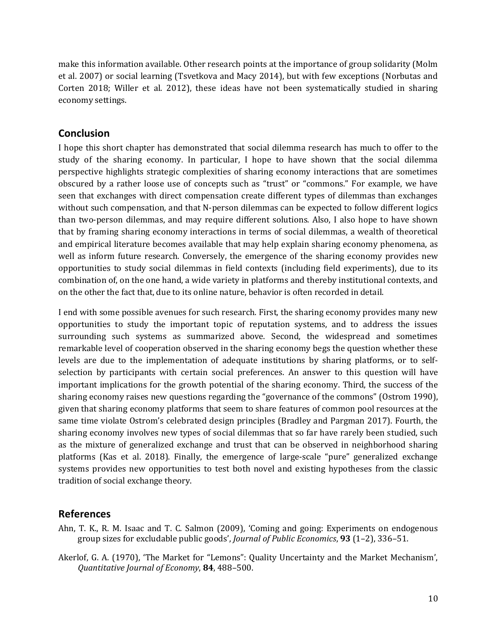make this information available. Other research points at the importance of group solidarity (Molm et al. 2007) or social learning (Tsvetkova and Macy 2014), but with few exceptions (Norbutas and Corten 2018; Willer et al. 2012), these ideas have not been systematically studied in sharing economy settings.

## **Conclusion**

I hope this short chapter has demonstrated that social dilemma research has much to offer to the study of the sharing economy. In particular, I hope to have shown that the social dilemma perspective highlights strategic complexities of sharing economy interactions that are sometimes obscured by a rather loose use of concepts such as "trust" or "commons." For example, we have seen that exchanges with direct compensation create different types of dilemmas than exchanges without such compensation, and that N-person dilemmas can be expected to follow different logics than two-person dilemmas, and may require different solutions. Also, I also hope to have shown that by framing sharing economy interactions in terms of social dilemmas, a wealth of theoretical and empirical literature becomes available that may help explain sharing economy phenomena, as well as inform future research. Conversely, the emergence of the sharing economy provides new opportunities to study social dilemmas in field contexts (including field experiments), due to its combination of, on the one hand, a wide variety in platforms and thereby institutional contexts, and on the other the fact that, due to its online nature, behavior is often recorded in detail.

I end with some possible avenues for such research. First, the sharing economy provides many new opportunities to study the important topic of reputation systems, and to address the issues surrounding such systems as summarized above. Second, the widespread and sometimes remarkable level of cooperation observed in the sharing economy begs the question whether these levels are due to the implementation of adequate institutions by sharing platforms, or to selfselection by participants with certain social preferences. An answer to this question will have important implications for the growth potential of the sharing economy. Third, the success of the sharing economy raises new questions regarding the "governance of the commons" (Ostrom 1990), given that sharing economy platforms that seem to share features of common pool resources at the same time violate Ostrom's celebrated design principles (Bradley and Pargman 2017). Fourth, the sharing economy involves new types of social dilemmas that so far have rarely been studied, such as the mixture of generalized exchange and trust that can be observed in neighborhood sharing platforms (Kas et al. 2018). Finally, the emergence of large-scale "pure" generalized exchange systems provides new opportunities to test both novel and existing hypotheses from the classic tradition of social exchange theory.

## References

- Ahn, T. K., R. M. Isaac and T. C. Salmon (2009), 'Coming and going: Experiments on endogenous group sizes for excludable public goods', Journal of Public Economics,  $93$  (1-2), 336-51.
- Akerlof, G. A. (1970), 'The Market for "Lemons": Quality Uncertainty and the Market Mechanism', Quantitative Journal of Economy, 84, 488–500.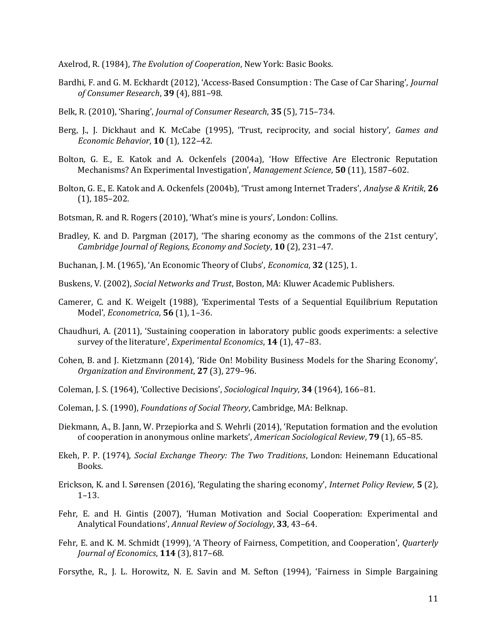Axelrod, R. (1984), The Evolution of Cooperation, New York: Basic Books.

- Bardhi, F. and G. M. Eckhardt (2012), 'Access-Based Consumption : The Case of Car Sharing', Journal of Consumer Research, 39 (4), 881–98.
- Belk, R. (2010), 'Sharing', Journal of Consumer Research, 35 (5), 715–734.
- Berg, J., J. Dickhaut and K. McCabe (1995), 'Trust, reciprocity, and social history', Games and Economic Behavior, 10 (1), 122–42.
- Bolton, G. E., E. Katok and A. Ockenfels (2004a), 'How Effective Are Electronic Reputation Mechanisms? An Experimental Investigation', Management Science, 50 (11), 1587-602.
- Bolton, G. E., E. Katok and A. Ockenfels (2004b), 'Trust among Internet Traders', Analyse & Kritik, 26 (1), 185–202.
- Botsman, R. and R. Rogers (2010), 'What's mine is yours', London: Collins.
- Bradley, K. and D. Pargman (2017), 'The sharing economy as the commons of the 21st century', Cambridge Journal of Regions, Economy and Society, 10 (2), 231–47.
- Buchanan, J. M. (1965), 'An Economic Theory of Clubs', *Economica*, 32 (125), 1.
- Buskens, V. (2002), Social Networks and Trust, Boston, MA: Kluwer Academic Publishers.
- Camerer, C. and K. Weigelt (1988), 'Experimental Tests of a Sequential Equilibrium Reputation Model', Econometrica, 56 (1), 1–36.
- Chaudhuri, A. (2011), 'Sustaining cooperation in laboratory public goods experiments: a selective survey of the literature', Experimental Economics, 14 (1), 47-83.
- Cohen, B. and J. Kietzmann (2014), 'Ride On! Mobility Business Models for the Sharing Economy', Organization and Environment, 27 (3), 279–96.
- Coleman, J. S. (1964), 'Collective Decisions', Sociological Inquiry, 34 (1964), 166–81.
- Coleman, J. S. (1990), Foundations of Social Theory, Cambridge, MA: Belknap.
- Diekmann, A., B. Jann, W. Przepiorka and S. Wehrli (2014), 'Reputation formation and the evolution of cooperation in anonymous online markets', American Sociological Review, 79 (1), 65–85.
- Ekeh, P. P. (1974), Social Exchange Theory: The Two Traditions, London: Heinemann Educational Books.
- Erickson, K. and I. Sørensen (2016), 'Regulating the sharing economy', Internet Policy Review, 5 (2), 1–13.
- Fehr, E. and H. Gintis (2007), 'Human Motivation and Social Cooperation: Experimental and Analytical Foundations', Annual Review of Sociology, 33, 43–64.
- Fehr, E. and K. M. Schmidt (1999), 'A Theory of Fairness, Competition, and Cooperation', Quarterly Journal of Economics, 114 (3), 817-68.
- Forsythe, R., J. L. Horowitz, N. E. Savin and M. Sefton (1994), 'Fairness in Simple Bargaining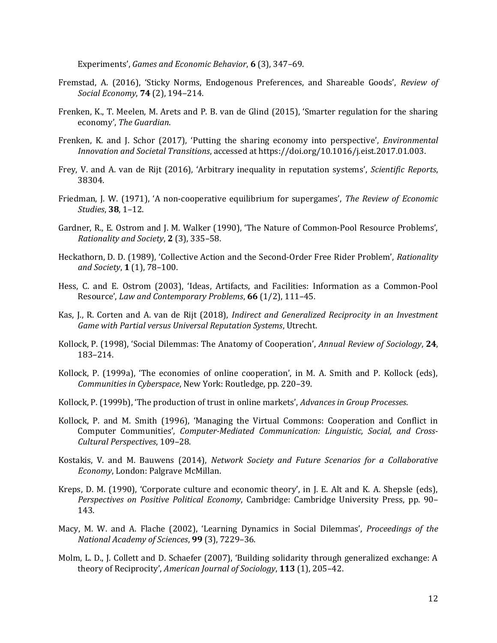Experiments', Games and Economic Behavior, 6 (3), 347–69.

- Fremstad, A. (2016), 'Sticky Norms, Endogenous Preferences, and Shareable Goods', Review of Social Economy, 74 (2), 194–214.
- Frenken, K., T. Meelen, M. Arets and P. B. van de Glind (2015), 'Smarter regulation for the sharing economy', The Guardian.
- Frenken, K. and J. Schor (2017), 'Putting the sharing economy into perspective', Environmental Innovation and Societal Transitions, accessed at https://doi.org/10.1016/j.eist.2017.01.003.
- Frey, V. and A. van de Rijt (2016), 'Arbitrary inequality in reputation systems', Scientific Reports, 38304.
- Friedman, J. W. (1971), 'A non-cooperative equilibrium for supergames', The Review of Economic Studies, 38, 1–12.
- Gardner, R., E. Ostrom and J. M. Walker (1990), 'The Nature of Common-Pool Resource Problems', Rationality and Society, 2 (3), 335–58.
- Heckathorn, D. D. (1989), 'Collective Action and the Second-Order Free Rider Problem', Rationality and Society, 1 (1), 78–100.
- Hess, C. and E. Ostrom (2003), 'Ideas, Artifacts, and Facilities: Information as a Common-Pool Resource', Law and Contemporary Problems, 66 (1/2), 111–45.
- Kas, J., R. Corten and A. van de Rijt (2018), Indirect and Generalized Reciprocity in an Investment Game with Partial versus Universal Reputation Systems, Utrecht.
- Kollock, P. (1998), 'Social Dilemmas: The Anatomy of Cooperation', Annual Review of Sociology, 24, 183–214.
- Kollock, P. (1999a), 'The economies of online cooperation', in M. A. Smith and P. Kollock (eds), Communities in Cyberspace, New York: Routledge, pp. 220–39.
- Kollock, P. (1999b), 'The production of trust in online markets', Advances in Group Processes.
- Kollock, P. and M. Smith (1996), 'Managing the Virtual Commons: Cooperation and Conflict in Computer Communities', Computer-Mediated Communication: Linguistic, Social, and Cross-Cultural Perspectives, 109–28.
- Kostakis, V. and M. Bauwens (2014), Network Society and Future Scenarios for a Collaborative Economy, London: Palgrave McMillan.
- Kreps, D. M. (1990), 'Corporate culture and economic theory', in J. E. Alt and K. A. Shepsle (eds), Perspectives on Positive Political Economy, Cambridge: Cambridge University Press, pp. 90– 143.
- Macy, M. W. and A. Flache (2002), 'Learning Dynamics in Social Dilemmas', Proceedings of the National Academy of Sciences, 99 (3), 7229–36.
- Molm, L. D., J. Collett and D. Schaefer (2007), 'Building solidarity through generalized exchange: A theory of Reciprocity', American Journal of Sociology, 113 (1), 205-42.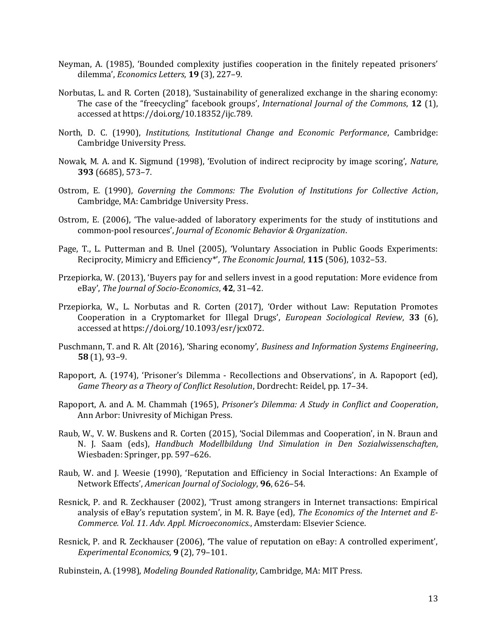- Neyman, A. (1985), 'Bounded complexity justifies cooperation in the finitely repeated prisoners' dilemma', Economics Letters, 19 (3), 227–9.
- Norbutas, L. and R. Corten (2018), 'Sustainability of generalized exchange in the sharing economy: The case of the "freecycling" facebook groups', International Journal of the Commons, 12 (1), accessed at https://doi.org/10.18352/ijc.789.
- North, D. C. (1990), Institutions, Institutional Change and Economic Performance, Cambridge: Cambridge University Press.
- Nowak, M. A. and K. Sigmund (1998), 'Evolution of indirect reciprocity by image scoring', Nature, 393 (6685), 573–7.
- Ostrom, E. (1990), Governing the Commons: The Evolution of Institutions for Collective Action, Cambridge, MA: Cambridge University Press.
- Ostrom, E. (2006), 'The value-added of laboratory experiments for the study of institutions and common-pool resources', Journal of Economic Behavior & Organization.
- Page, T., L. Putterman and B. Unel (2005), 'Voluntary Association in Public Goods Experiments: Reciprocity, Mimicry and Efficiency\*', The Economic Journal, 115 (506), 1032–53.
- Przepiorka, W. (2013), 'Buyers pay for and sellers invest in a good reputation: More evidence from eBay', The Journal of Socio-Economics, 42, 31–42.
- Przepiorka, W., L. Norbutas and R. Corten (2017), 'Order without Law: Reputation Promotes Cooperation in a Cryptomarket for Illegal Drugs', European Sociological Review, 33 (6), accessed at https://doi.org/10.1093/esr/jcx072.
- Puschmann, T. and R. Alt (2016), 'Sharing economy', Business and Information Systems Engineering, 58 (1), 93–9.
- Rapoport, A. (1974), 'Prisoner's Dilemma Recollections and Observations', in A. Rapoport (ed), Game Theory as a Theory of Conflict Resolution, Dordrecht: Reidel, pp. 17–34.
- Rapoport, A. and A. M. Chammah (1965), Prisoner's Dilemma: A Study in Conflict and Cooperation, Ann Arbor: Univresity of Michigan Press.
- Raub, W., V. W. Buskens and R. Corten (2015), 'Social Dilemmas and Cooperation', in N. Braun and N. J. Saam (eds), Handbuch Modellbildung Und Simulation in Den Sozialwissenschaften, Wiesbaden: Springer, pp. 597–626.
- Raub, W. and J. Weesie (1990), 'Reputation and Efficiency in Social Interactions: An Example of Network Effects', American Journal of Sociology, 96, 626–54.
- Resnick, P. and R. Zeckhauser (2002), 'Trust among strangers in Internet transactions: Empirical analysis of eBay's reputation system', in M. R. Baye (ed), The Economics of the Internet and E-Commerce. Vol. 11. Adv. Appl. Microeconomics., Amsterdam: Elsevier Science.
- Resnick, P. and R. Zeckhauser (2006), 'The value of reputation on eBay: A controlled experiment', Experimental Economics, 9 (2), 79–101.
- Rubinstein, A. (1998), Modeling Bounded Rationality, Cambridge, MA: MIT Press.